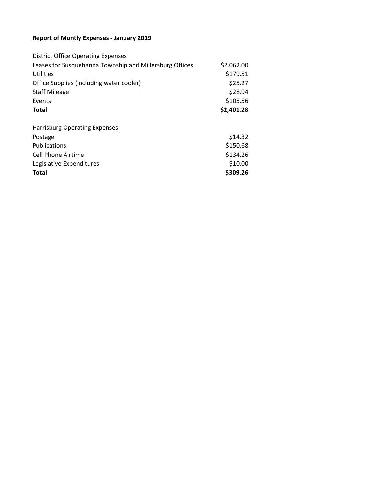#### **Report of Montly Expenses - January 2019**

| <b>District Office Operating Expenses</b>               |            |
|---------------------------------------------------------|------------|
| Leases for Susquehanna Township and Millersburg Offices | \$2,062.00 |
| Utilities                                               | \$179.51   |
| Office Supplies (including water cooler)                | \$25.27    |
| <b>Staff Mileage</b>                                    | \$28.94    |
| Events                                                  | \$105.56   |
| Total                                                   | \$2,401.28 |
|                                                         |            |
| Harrisburg Operating Expenses                           |            |
| Postage                                                 | \$14.32    |
| <b>Publications</b>                                     | \$150.68   |
| Cell Phone Airtime                                      | \$134.26   |
| Legislative Expenditures                                | \$10.00    |
| <b>Total</b>                                            | \$309.26   |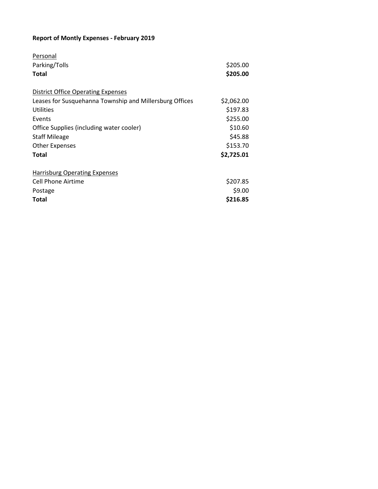# **Report of Montly Expenses - February 2019**

| Personal                                                |            |
|---------------------------------------------------------|------------|
| Parking/Tolls                                           | \$205.00   |
| Total                                                   | \$205.00   |
| <b>District Office Operating Expenses</b>               |            |
| Leases for Susquehanna Township and Millersburg Offices | \$2,062.00 |
| Utilities                                               | \$197.83   |
| Events                                                  | \$255.00   |
| Office Supplies (including water cooler)                | \$10.60    |
| <b>Staff Mileage</b>                                    | \$45.88    |
| <b>Other Expenses</b>                                   | \$153.70   |
| <b>Total</b>                                            | \$2,725.01 |
| <b>Harrisburg Operating Expenses</b>                    |            |
| Cell Phone Airtime                                      | \$207.85   |
| Postage                                                 | \$9.00     |
| <b>Total</b>                                            | \$216.85   |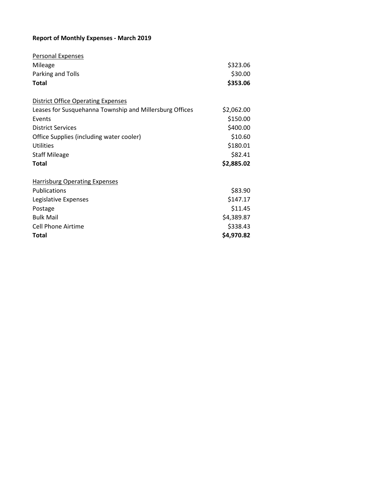#### **Report of Monthly Expenses - March 2019**

| <b>Personal Expenses</b>                                |            |
|---------------------------------------------------------|------------|
| Mileage                                                 | \$323.06   |
| Parking and Tolls                                       | \$30.00    |
| <b>Total</b>                                            | \$353.06   |
| <b>District Office Operating Expenses</b>               |            |
| Leases for Susquehanna Township and Millersburg Offices | \$2,062.00 |
| Events                                                  | \$150.00   |
| <b>District Services</b>                                | \$400.00   |
| Office Supplies (including water cooler)                | \$10.60    |
| Utilities                                               | \$180.01   |
| <b>Staff Mileage</b>                                    | \$82.41    |
| <b>Total</b>                                            | \$2,885.02 |
| <b>Harrisburg Operating Expenses</b>                    |            |
| <b>Publications</b>                                     | \$83.90    |
| Legislative Expenses                                    | \$147.17   |
| Postage                                                 | \$11.45    |
| <b>Bulk Mail</b>                                        | \$4,389.87 |
| <b>Cell Phone Airtime</b>                               | \$338.43   |
| Total                                                   | \$4,970.82 |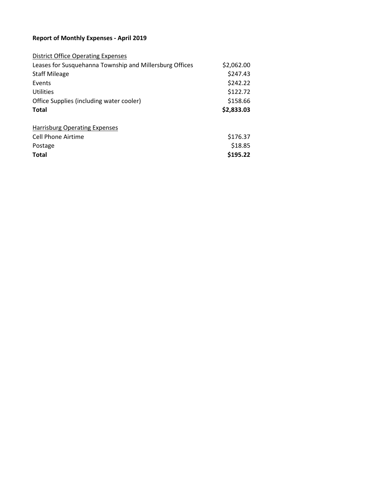#### **Report of Monthly Expenses - April 2019**

| <b>District Office Operating Expenses</b>               |            |
|---------------------------------------------------------|------------|
| Leases for Susquehanna Township and Millersburg Offices | \$2,062.00 |
| <b>Staff Mileage</b>                                    | \$247.43   |
| Events                                                  | \$242.22   |
| Utilities                                               | \$122.72   |
| Office Supplies (including water cooler)                | \$158.66   |
| <b>Total</b>                                            | \$2,833.03 |
|                                                         |            |
| <b>Harrisburg Operating Expenses</b>                    |            |
| Cell Phone Airtime                                      | \$176.37   |
| Postage                                                 | \$18.85    |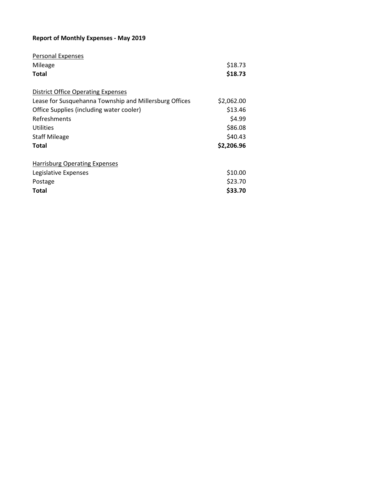#### **Report of Monthly Expenses - May 2019**

| Personal Expenses                                      |            |
|--------------------------------------------------------|------------|
| Mileage                                                | \$18.73    |
| Total                                                  | \$18.73    |
| <b>District Office Operating Expenses</b>              |            |
| Lease for Susquehanna Township and Millersburg Offices | \$2,062.00 |
| Office Supplies (including water cooler)               | \$13.46    |
| Refreshments                                           | \$4.99     |
| Utilities                                              | \$86.08    |
| <b>Staff Mileage</b>                                   | \$40.43    |
| <b>Total</b>                                           | \$2,206.96 |
| <b>Harrisburg Operating Expenses</b>                   |            |
| Legislative Expenses                                   | \$10.00    |
| Postage                                                | \$23.70    |
| <b>Total</b>                                           | \$33.70    |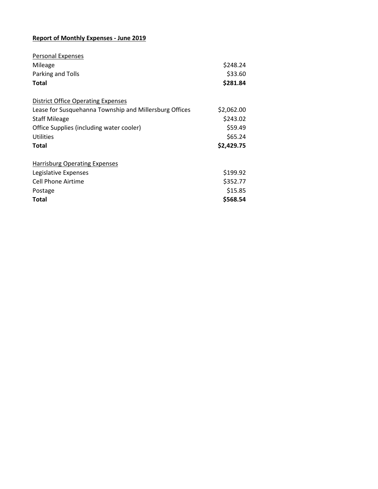## **Report of Monthly Expenses - June 2019**

| <b>Personal Expenses</b>                               |            |
|--------------------------------------------------------|------------|
| Mileage                                                | \$248.24   |
| Parking and Tolls                                      | \$33.60    |
| Total                                                  | \$281.84   |
| <b>District Office Operating Expenses</b>              |            |
| Lease for Susquehanna Township and Millersburg Offices | \$2,062.00 |
| <b>Staff Mileage</b>                                   | \$243.02   |
| Office Supplies (including water cooler)               | \$59.49    |
| Utilities                                              | \$65.24    |
| <b>Total</b>                                           | \$2,429.75 |
| <b>Harrisburg Operating Expenses</b>                   |            |
| Legislative Expenses                                   | \$199.92   |
| <b>Cell Phone Airtime</b>                              | \$352.77   |
| Postage                                                | \$15.85    |
| <b>Total</b>                                           | \$568.54   |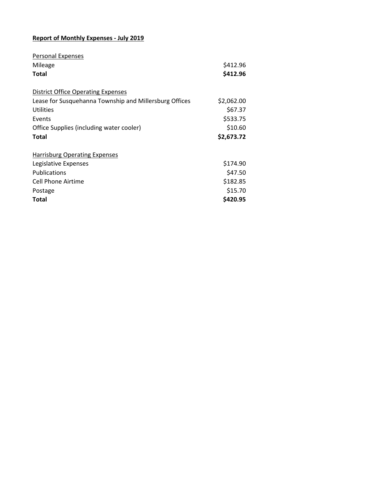## **Report of Monthly Expenses - July 2019**

| Personal Expenses                                      |            |
|--------------------------------------------------------|------------|
| Mileage                                                | \$412.96   |
| Total                                                  | \$412.96   |
| <b>District Office Operating Expenses</b>              |            |
| Lease for Susquehanna Township and Millersburg Offices | \$2,062.00 |
| Utilities                                              | \$67.37    |
| Events                                                 | \$533.75   |
| Office Supplies (including water cooler)               | \$10.60    |
| Total                                                  | \$2,673.72 |
| <b>Harrisburg Operating Expenses</b>                   |            |
| Legislative Expenses                                   | \$174.90   |
| <b>Publications</b>                                    | \$47.50    |
| Cell Phone Airtime                                     | \$182.85   |
| Postage                                                | \$15.70    |
| <b>Total</b>                                           | \$420.95   |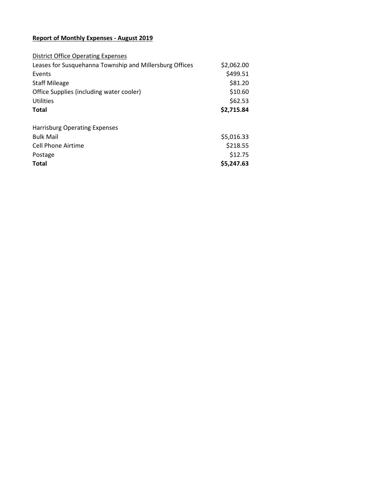## **Report of Monthly Expenses - August 2019**

| <b>District Office Operating Expenses</b>               |            |
|---------------------------------------------------------|------------|
| Leases for Susquehanna Township and Millersburg Offices | \$2,062.00 |
| Events                                                  | \$499.51   |
| <b>Staff Mileage</b>                                    | \$81.20    |
| Office Supplies (including water cooler)                | \$10.60    |
| Utilities                                               | \$62.53    |
| <b>Total</b>                                            | \$2,715.84 |
| <b>Harrisburg Operating Expenses</b>                    |            |
| <b>Bulk Mail</b>                                        | \$5,016.33 |
| <b>Cell Phone Airtime</b>                               | \$218.55   |
| Postage                                                 | \$12.75    |
| <b>Total</b>                                            | \$5,247.63 |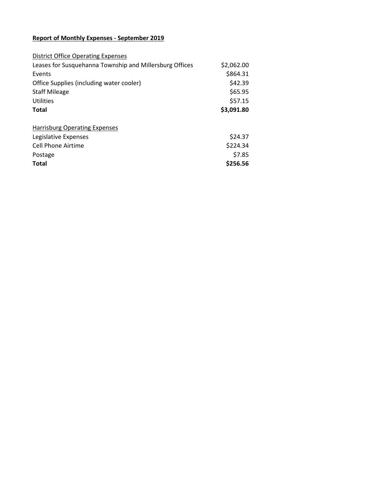## **Report of Monthly Expenses - September 2019**

| <b>District Office Operating Expenses</b>               |            |
|---------------------------------------------------------|------------|
| Leases for Susquehanna Township and Millersburg Offices | \$2,062.00 |
| Events                                                  | \$864.31   |
| Office Supplies (including water cooler)                | \$42.39    |
| <b>Staff Mileage</b>                                    | \$65.95    |
| <b>Utilities</b>                                        | \$57.15    |
| <b>Total</b>                                            | \$3,091.80 |
|                                                         |            |
| <b>Harrisburg Operating Expenses</b>                    |            |
| Legislative Expenses                                    | \$24.37    |
| Cell Phone Airtime                                      | \$224.34   |
| Postage                                                 | \$7.85     |
| <b>Total</b>                                            | \$256.56   |
|                                                         |            |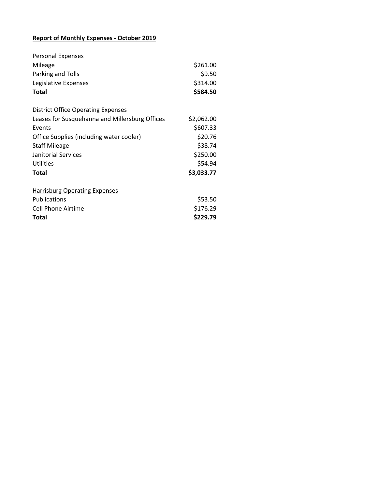## **Report of Monthly Expenses - October 2019**

| <b>Personal Expenses</b>                       |            |
|------------------------------------------------|------------|
| Mileage                                        | \$261.00   |
| Parking and Tolls                              | \$9.50     |
| Legislative Expenses                           | \$314.00   |
| <b>Total</b>                                   | \$584.50   |
| <b>District Office Operating Expenses</b>      |            |
| Leases for Susquehanna and Millersburg Offices | \$2,062.00 |
| Events                                         | \$607.33   |
| Office Supplies (including water cooler)       | \$20.76    |
| <b>Staff Mileage</b>                           | \$38.74    |
| Janitorial Services                            | \$250.00   |
| Utilities                                      | \$54.94    |
| <b>Total</b>                                   | \$3,033.77 |
| <b>Harrisburg Operating Expenses</b>           |            |
| Publications                                   | \$53.50    |
| <b>Cell Phone Airtime</b>                      | \$176.29   |
| Total                                          | \$229.79   |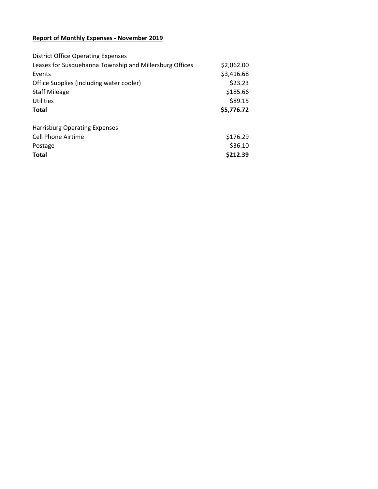## **Report of Monthly Expenses - November 2019**

| <b>District Office Operating Expenses</b>               |            |
|---------------------------------------------------------|------------|
| Leases for Susquehanna Township and Millersburg Offices | \$2,062.00 |
| Events                                                  | \$3,416.68 |
| Office Supplies (including water cooler)                | \$23.23    |
| <b>Staff Mileage</b>                                    | \$185.66   |
| Utilities                                               | \$89.15    |
| <b>Total</b>                                            | \$5,776.72 |
|                                                         |            |
|                                                         |            |
| <b>Harrisburg Operating Expenses</b>                    |            |
| Cell Phone Airtime                                      | \$176.29   |
| Postage                                                 | \$36.10    |